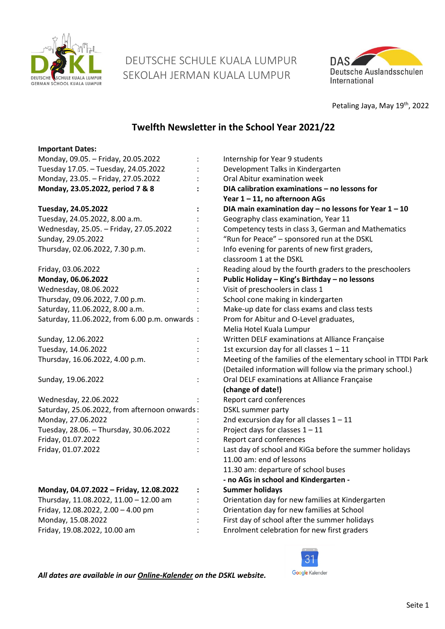

 DEUTSCHE SCHULE KUALA LUMPUR SEKOLAH JERMAN KUALA LUMPUR



Petaling Jaya, May 19<sup>th</sup>, 2022

# **Twelfth Newsletter in the School Year 2021/22**

| <b>Important Dates:</b>                       |                                                                           |
|-----------------------------------------------|---------------------------------------------------------------------------|
| Monday, 09.05. - Friday, 20.05.2022           | Internship for Year 9 students                                            |
| Tuesday 17.05. - Tuesday, 24.05.2022          | Development Talks in Kindergarten                                         |
| Monday, 23.05. - Friday, 27.05.2022           | Oral Abitur examination week                                              |
| Monday, 23.05.2022, period 7 & 8              | DIA calibration examinations - no lessons for                             |
|                                               | Year 1-11, no afternoon AGs                                               |
| Tuesday, 24.05.2022                           | DIA main examination day $-$ no lessons for Year $1 - 10$                 |
| Tuesday, 24.05.2022, 8.00 a.m.                | Geography class examination, Year 11                                      |
| Wednesday, 25.05. - Friday, 27.05.2022        | Competency tests in class 3, German and Mathematics                       |
| Sunday, 29.05.2022                            | "Run for Peace" - sponsored run at the DSKL                               |
| Thursday, 02.06.2022, 7.30 p.m.               | Info evening for parents of new first graders,<br>classroom 1 at the DSKL |
| Friday, 03.06.2022                            | Reading aloud by the fourth graders to the preschoolers                   |
| Monday, 06.06.2022                            | Public Holiday - King's Birthday - no lessons                             |
| Wednesday, 08.06.2022                         | Visit of preschoolers in class 1                                          |
| Thursday, 09.06.2022, 7.00 p.m.               | School cone making in kindergarten                                        |
| Saturday, 11.06.2022, 8.00 a.m.               | Make-up date for class exams and class tests                              |
| Saturday, 11.06.2022, from 6.00 p.m. onwards: | Prom for Abitur and O-Level graduates,                                    |
|                                               | Melia Hotel Kuala Lumpur                                                  |
| Sunday, 12.06.2022                            | Written DELF examinations at Alliance Française                           |
| Tuesday, 14.06.2022                           | 1st excursion day for all classes $1 - 11$                                |
| Thursday, 16.06.2022, 4.00 p.m.               | Meeting of the families of the elementary school in TTDI Park             |
|                                               | (Detailed information will follow via the primary school.)                |
| Sunday, 19.06.2022                            | Oral DELF examinations at Alliance Française                              |
|                                               | (change of date!)                                                         |
| Wednesday, 22.06.2022                         | Report card conferences                                                   |
| Saturday, 25.06.2022, from afternoon onwards: | DSKL summer party                                                         |
| Monday, 27.06.2022                            | 2nd excursion day for all classes $1 - 11$                                |
| Tuesday, 28.06. - Thursday, 30.06.2022        | Project days for classes $1 - 11$                                         |
| Friday, 01.07.2022                            | Report card conferences                                                   |
| Friday, 01.07.2022                            | Last day of school and KiGa before the summer holidays                    |
|                                               | 11.00 am: end of lessons                                                  |
|                                               | 11.30 am: departure of school buses                                       |
|                                               | - no AGs in school and Kindergarten -                                     |
| Monday, 04.07.2022 - Friday, 12.08.2022       | <b>Summer holidays</b>                                                    |
| Thursday, 11.08.2022, 11.00 - 12.00 am        | Orientation day for new families at Kindergarten                          |
| Friday, 12.08.2022, 2.00 - 4.00 pm            | Orientation day for new families at School                                |
| Monday, 15.08.2022                            | First day of school after the summer holidays                             |
| Friday, 19.08.2022, 10.00 am                  | Enrolment celebration for new first graders                               |
|                                               |                                                                           |



*All dates are available in our [Online-Kalender](https://www.dskl.edu.my/kalender/) on the DSKL website.*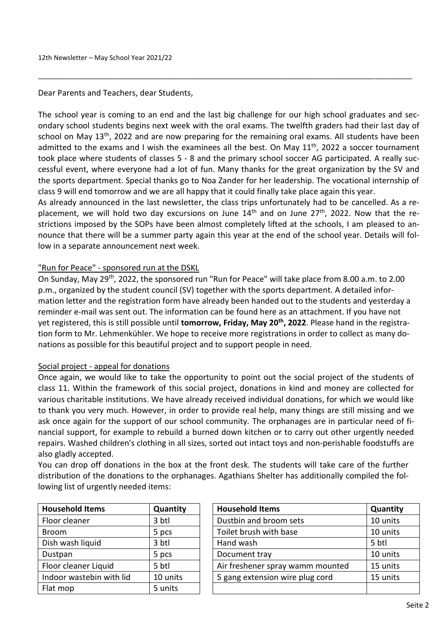Dear Parents and Teachers, dear Students,

The school year is coming to an end and the last big challenge for our high school graduates and secondary school students begins next week with the oral exams. The twelfth graders had their last day of school on May 13<sup>th</sup>, 2022 and are now preparing for the remaining oral exams. All students have been admitted to the exams and I wish the examinees all the best. On May 11<sup>th</sup>, 2022 a soccer tournament took place where students of classes 5 - 8 and the primary school soccer AG participated. A really successful event, where everyone had a lot of fun. Many thanks for the great organization by the SV and the sports department. Special thanks go to Noa Zander for her leadership. The vocational internship of class 9 will end tomorrow and we are all happy that it could finally take place again this year.

\_\_\_\_\_\_\_\_\_\_\_\_\_\_\_\_\_\_\_\_\_\_\_\_\_\_\_\_\_\_\_\_\_\_\_\_\_\_\_\_\_\_\_\_\_\_\_\_\_\_\_\_\_\_\_\_\_\_\_\_\_\_\_\_\_\_\_\_\_\_\_\_\_\_\_\_\_\_\_\_\_\_\_\_\_\_\_\_\_\_

As already announced in the last newsletter, the class trips unfortunately had to be cancelled. As a replacement, we will hold two day excursions on June 14<sup>th</sup> and on June 27<sup>th</sup>, 2022. Now that the restrictions imposed by the SOPs have been almost completely lifted at the schools, I am pleased to announce that there will be a summer party again this year at the end of the school year. Details will follow in a separate announcement next week.

# "Run for Peace" - sponsored run at the DSKL

On Sunday, May 29th, 2022, the sponsored run "Run for Peace" will take place from 8.00 a.m. to 2.00 p.m., organized by the student council (SV) together with the sports department. A detailed information letter and the registration form have already been handed out to the students and yesterday a reminder e-mail was sent out. The information can be found here as an attachment. If you have not yet registered, this is still possible until **tomorrow, Friday, May 20th , 2022**. Please hand in the registration form to Mr. Lehmenkühler. We hope to receive more registrations in order to collect as many donations as possible for this beautiful project and to support people in need.

## Social project - appeal for donations

Once again, we would like to take the opportunity to point out the social project of the students of class 11. Within the framework of this social project, donations in kind and money are collected for various charitable institutions. We have already received individual donations, for which we would like to thank you very much. However, in order to provide real help, many things are still missing and we ask once again for the support of our school community. The orphanages are in particular need of financial support, for example to rebuild a burned down kitchen or to carry out other urgently needed repairs. Washed children's clothing in all sizes, sorted out intact toys and non-perishable foodstuffs are also gladly accepted.

You can drop off donations in the box at the front desk. The students will take care of the further distribution of the donations to the orphanages. Agathians Shelter has additionally compiled the following list of urgently needed items:

| <b>Household Items</b>   | Quantity |
|--------------------------|----------|
| Floor cleaner            | 3 btl    |
| <b>Broom</b>             | 5 pcs    |
| Dish wash liquid         | 3 btl    |
| Dustpan                  | 5 pcs    |
| Floor cleaner Liquid     | 5 btl    |
| Indoor wastebin with lid | 10 units |
| Flat mop                 | 5 units  |

| <b>Household Items</b>   | Quantity        | <b>Household Items</b>           | Quantity |
|--------------------------|-----------------|----------------------------------|----------|
| Floor cleaner            | 3 btl           | Dustbin and broom sets           | 10 units |
| <b>Broom</b>             | 5 pcs           | Toilet brush with base           | 10 units |
| Dish wash liquid         | $3 \text{ btl}$ | Hand wash                        | 5 btl    |
| Dustpan                  | 5 pcs           | Document tray                    | 10 units |
| Floor cleaner Liquid     | 5 btl           | Air freshener spray wamm mounted | 15 units |
| Indoor wastebin with lid | 10 units        | 5 gang extension wire plug cord  | 15 units |
| Elat mon                 | 5 units         |                                  |          |